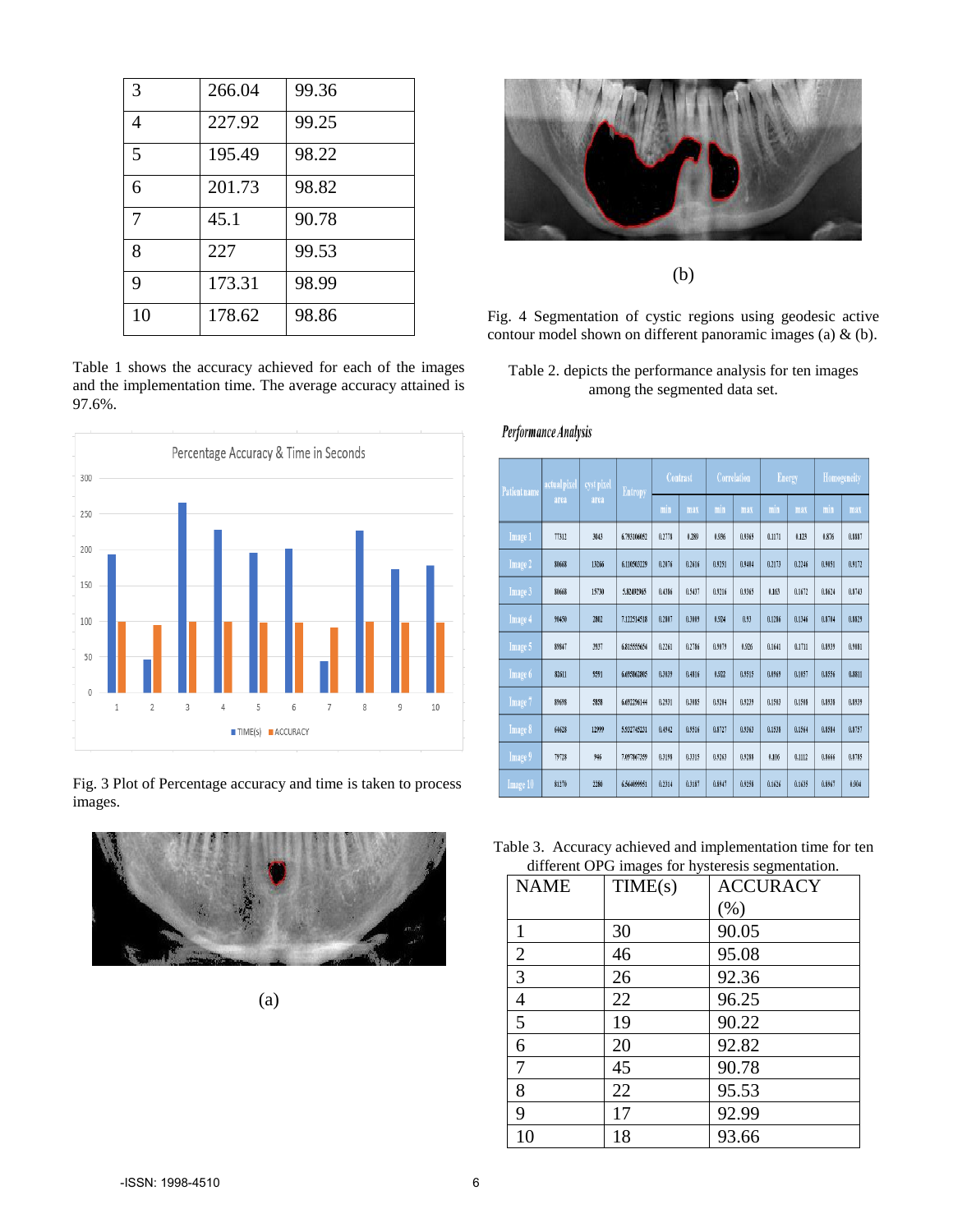| 3  | 266.04 | 99.36 |
|----|--------|-------|
| 4  | 227.92 | 99.25 |
| 5  | 195.49 | 98.22 |
| 6  | 201.73 | 98.82 |
| 7  | 45.1   | 90.78 |
| 8  | 227    | 99.53 |
| 9  | 173.31 | 98.99 |
| 10 | 178.62 | 98.86 |

Table 1 shows the accuracy achieved for each of the images and the implementation time. The average accuracy attained is 97.6%.



Fig. 3 Plot of Percentage accuracy and time is taken to process images.



(a)



(b)

Fig. 4 Segmentation of cystic regions using geodesic active contour model shown on different panoramic images (a) & (b).

# Table 2. depicts the performance analysis for ten images among the segmented data set.

## Performance Analysis

| <b>Patient name</b> | actual pixel<br>area | cyst pixel<br>area | <b>Entropy</b> | Contrast |        | Correlation |        | <b>Energy</b> |        | Homogeneity |        |
|---------------------|----------------------|--------------------|----------------|----------|--------|-------------|--------|---------------|--------|-------------|--------|
|                     |                      |                    |                | min      | max    | min         | max    | min           | max    | $\min$      | max    |
| Image 1             | 77312                | 3043               | 6.793106052    | 0.2778   | 0.289  | 0.936       | 0.9365 | 0.1171        | 0.123  | 0.876       | 0.8887 |
| Image 2             | 80668                | 13266              | 6.110503229    | 0.2076   | 0.2616 | 0.9251      | 0.9404 | 0.2173        | 0.2246 | 0.9051      | 0.9172 |
| Image 3             | 80668                | 15730              | 5.82492965     | 0.4386   | 0.5437 | 0.9216      | 0.9365 | 0.163         | 0.1672 | 0.8624      | 0.8743 |
| Image 4             | 90450                | 2802               | 7.122514518    | 0.2807   | 0.3009 | 0.924       | 0.93   | 0.1286        | 0.1346 | 0.8704      | 0.8829 |
| Image 5             | 89847                | 3937               | 6.815555654    | 0.2261   | 0.2786 | 0.9079      | 0.926  | 0.1641        | 0.1711 | 0.8939      | 0.9081 |
| Image 6             | 82611                | 9591               | 6.695862805    | 0.3039   | 0.4816 | 0.922       | 0.9515 | 0.0969        | 0.1057 | 0.8556      | 0.8811 |
| Image 7             | 89698                | 5858               | 6.692296144    | 0.2931   | 0.3085 | 0.9204      | 0.9239 | 0.1503        | 0.1508 | 0.8938      | 0.8939 |
| Image 8             | 64628                | 12999              | 5.932745231    | 0.4942   | 0.9516 | 0.8727      | 0.9363 | 0.1538        | 0.1564 | 0.8584      | 0.8757 |
| Image 9             | 79728                | 946                | 7.097867359    | 0.3198   | 0.3315 | 0.9263      | 0.9288 | 0.106         | 0.1112 | 0.8666      | 0.8785 |
| Image 10            | 81270                | 2280               | 6.564099951    | 0.2314   | 0.3187 | 0.8947      | 0.9258 | 0.1626        | 0.1635 | 0.8967      | 0.904  |

Table 3. Accuracy achieved and implementation time for ten different OPG images for hysteresis segmentation.

| <b>NAME</b>    | TIME(s) | <b>ACCURACY</b> |
|----------------|---------|-----------------|
|                |         | $(\% )$         |
| 1              | 30      | 90.05           |
| $\overline{2}$ | 46      | 95.08           |
| 3              | 26      | 92.36           |
| 4              | 22      | 96.25           |
| 5              | 19      | 90.22           |
| 6              | 20      | 92.82           |
| 7              | 45      | 90.78           |
| 8              | 22      | 95.53           |
| 9              | 17      | 92.99           |
| 10             | 18      | 93.66           |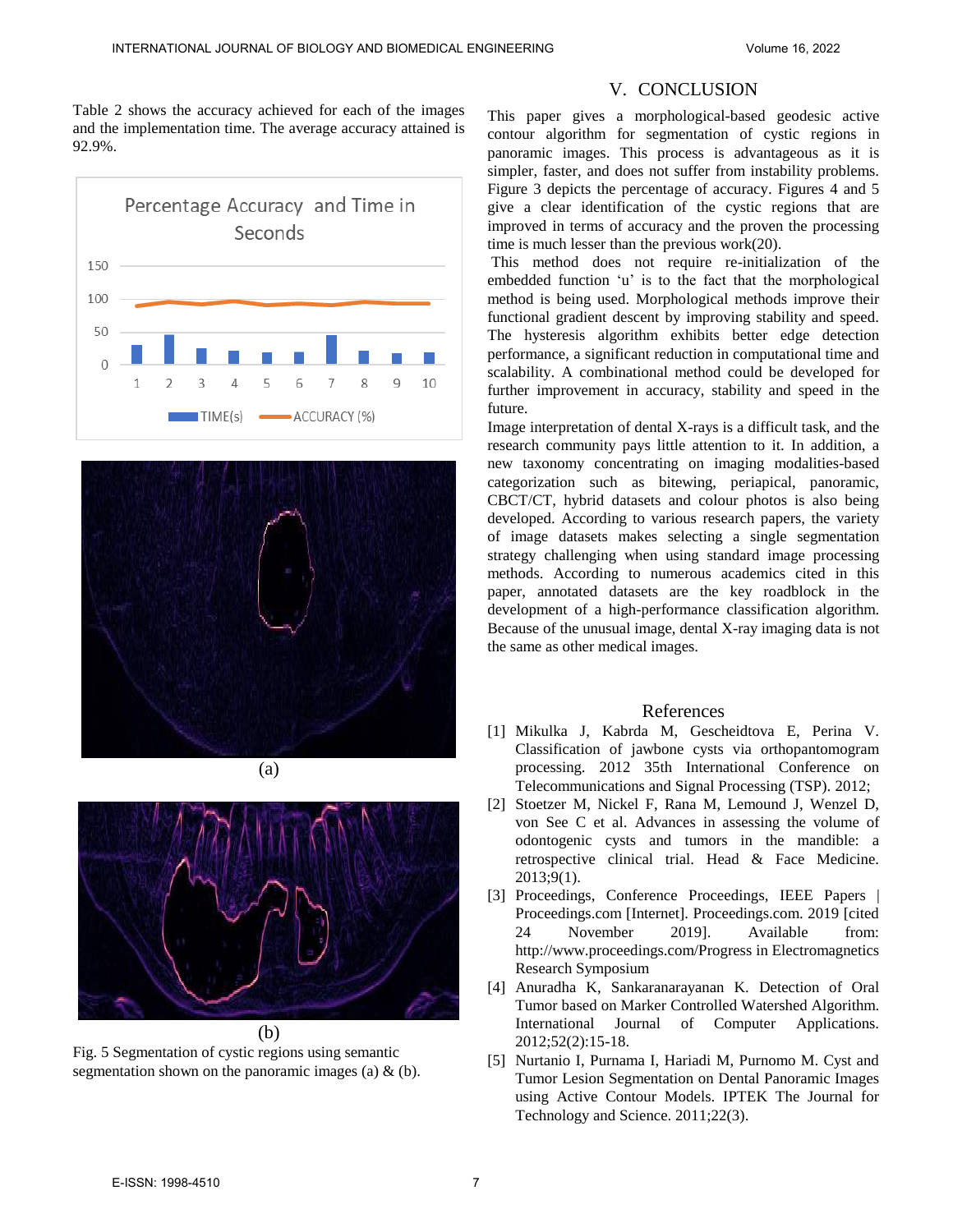Table 2 shows the accuracy achieved for each of the images and the implementation time. The average accuracy attained is 92.9%.





(a)



Fig. 5 Segmentation of cystic regions using semantic segmentation shown on the panoramic images (a)  $\&$  (b).

## V. CONCLUSION

This paper gives a morphological-based geodesic active contour algorithm for segmentation of cystic regions in panoramic images. This process is advantageous as it is simpler, faster, and does not suffer from instability problems. Figure 3 depicts the percentage of accuracy. Figures 4 and 5 give a clear identification of the cystic regions that are improved in terms of accuracy and the proven the processing time is much lesser than the previous work(20).

 This method does not require re-initialization of the embedded function 'u' is to the fact that the morphological method is being used. Morphological methods improve their functional gradient descent by improving stability and speed. The hysteresis algorithm exhibits better edge detection performance, a significant reduction in computational time and scalability. A combinational method could be developed for further improvement in accuracy, stability and speed in the future.

Image interpretation of dental X-rays is a difficult task, and the research community pays little attention to it. In addition, a new taxonomy concentrating on imaging modalities-based categorization such as bitewing, periapical, panoramic, CBCT/CT, hybrid datasets and colour photos is also being developed. According to various research papers, the variety of image datasets makes selecting a single segmentation strategy challenging when using standard image processing methods. According to numerous academics cited in this paper, annotated datasets are the key roadblock in the development of a high-performance classification algorithm. Because of the unusual image, dental X-ray imaging data is not the same as other medical images.

#### References

- [1] Mikulka J, Kabrda M, Gescheidtova E, Perina V. Classification of jawbone cysts via orthopantomogram processing. 2012 35th International Conference on Telecommunications and Signal Processing (TSP). 2012;
- [2] Stoetzer M, Nickel F, Rana M, Lemound J, Wenzel D, von See C et al. Advances in assessing the volume of odontogenic cysts and tumors in the mandible: a retrospective clinical trial. Head & Face Medicine. 2013;9(1).
- [3] Proceedings, Conference Proceedings, IEEE Papers | Proceedings.com [Internet]. Proceedings.com. 2019 [cited 24 November 2019]. Available from: http://www.proceedings.com/Progress in Electromagnetics Research Symposium
- [4] Anuradha K, Sankaranarayanan K. Detection of Oral Tumor based on Marker Controlled Watershed Algorithm. International Journal of Computer Applications. 2012;52(2):15-18.
- [5] Nurtanio I, Purnama I, Hariadi M, Purnomo M. Cyst and Tumor Lesion Segmentation on Dental Panoramic Images using Active Contour Models. IPTEK The Journal for Technology and Science. 2011;22(3).